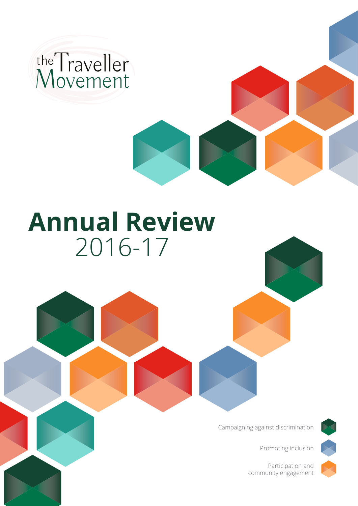

# **Annual Review**  2016-17

Campaigning against discrimination



Promoting inclusion

Participation and community engagement

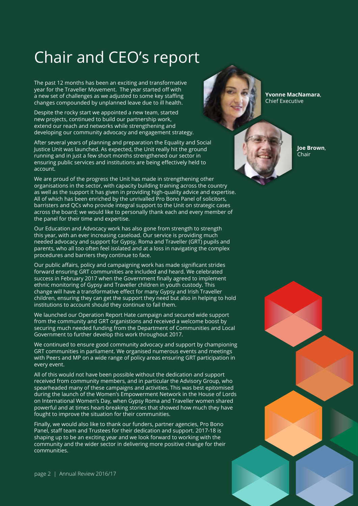## Chair and CEO's report

The past 12 months has been an exciting and transformative year for the Traveller Movement. The year started off with a new set of challenges as we adjusted to some key staffing changes compounded by unplanned leave due to ill health.

Despite the rocky start we appointed a new team, started new projects, continued to build our partnership work, extend our reach and networks while strengthening and developing our community advocacy and engagement strategy.

After several years of planning and preparation the Equality and Social Justice Unit was launched. As expected, the Unit really hit the ground running and in just a few short months strengthened our sector in ensuring public services and institutions are being effectively held to account.

We are proud of the progress the Unit has made in strengthening other organisations in the sector, with capacity building training across the country as well as the support it has given in providing high-quality advice and expertise. All of which has been enriched by the unrivalled Pro Bono Panel of solicitors, barristers and QCs who provide integral support to the Unit on strategic cases across the board; we would like to personally thank each and every member of the panel for their time and expertise.

Our Education and Advocacy work has also gone from strength to strength this year, with an ever increasing caseload. Our service is providing much needed advocacy and support for Gypsy, Roma and Traveller (GRT) pupils and parents, who all too often feel isolated and at a loss in navigating the complex procedures and barriers they continue to face.

Our public affairs, policy and campaigning work has made significant strides forward ensuring GRT communities are included and heard. We celebrated success in February 2017 when the Government finally agreed to implement ethnic monitoring of Gypsy and Traveller children in youth custody. This change will have a transformative effect for many Gypsy and Irish Traveller children, ensuring they can get the support they need but also in helping to hold institutions to account should they continue to fail them.

We launched our Operation Report Hate campaign and secured wide support from the community and GRT organistions and received a welcome boost by securing much needed funding from the Department of Communities and Local Government to further develop this work throughout 2017.

We continued to ensure good community advocacy and support by championing GRT communities in parliament. We organised numerous events and meetings with Peers and MP on a wide range of policy areas ensuring GRT participation in every event.

All of this would not have been possible without the dedication and support received from community members, and in particular the Advisory Group, who spearheaded many of these campaigns and activities. This was best epitomised during the launch of the Women's Empowerment Network in the House of Lords on International Women's Day, when Gypsy Roma and Traveller women shared powerful and at times heart-breaking stories that showed how much they have fought to improve the situation for their communities.

Finally, we would also like to thank our funders, partner agencies, Pro Bono Panel, staff team and Trustees for their dedication and support. 2017-18 is shaping up to be an exciting year and we look forward to working with the community and the wider sector in delivering more positive change for their communities.

**Yvonne MacNamara**, Chief Executive



**Joe Brown**, Chair

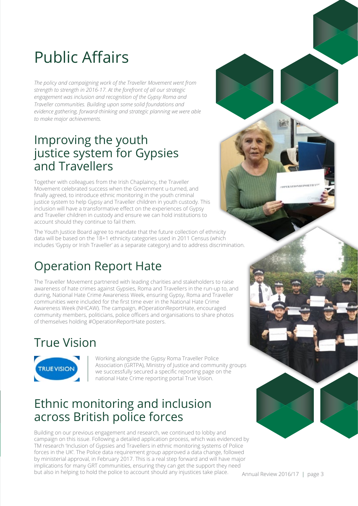# Public Affairs

*The policy and campaigning work of the Traveller Movement went from strength to strength in 2016-17. At the forefront of all our strategic engagement was inclusion and recognition of the Gypsy Roma and Traveller communities. Building upon some solid foundations and evidence gathering, forward-thinking and strategic planning we were able to make major achievements.*

#### Improving the youth justice system for Gypsies and Travellers

Together with colleagues from the Irish Chaplaincy, the Traveller Movement celebrated success when the Government u-turned, and finally agreed, to introduce ethnic monitoring in the youth criminal justice system to help Gypsy and Traveller children in youth custody. This inclusion will have a transformative effect on the experiences of Gypsy and Traveller children in custody and ensure we can hold institutions to account should they continue to fail them.

The Youth Justice Board agree to mandate that the future collection of ethnicity data will be based on the 18+1 ethnicity categories used in 2011 Census (which includes 'Gypsy or Irish Traveller' as a separate category) and to address discrimination.

## Operation Report Hate

The Traveller Movement partnered with leading charities and stakeholders to raise awareness of hate crimes against Gypsies, Roma and Travellers in the run-up to, and during, National Hate Crime Awareness Week, ensuring Gypsy, Roma and Traveller communities were included for the first time ever in the National Hate Crime Awareness Week (NHCAW). The campaign, #OperationReportHate, encouraged community members, politicians, police officers and organisations to share photos of themselves holding #OperationReportHate posters.

## True Vision



Working alongside the Gypsy Roma Traveller Police Association (GRTPA), Ministry of Justice and community groups we successfully secured a specific reporting page on the national Hate Crime reporting portal True Vision.

#### Ethnic monitoring and inclusion across British police forces

Building on our previous engagement and research, we continued to lobby and campaign on this issue. Following a detailed application process, which was evidenced by TM research 'Inclusion of Gypsies and Travellers in ethnic monitoring systems of Police forces in the UK'. The Police data requirement group approved a data change, followed by ministerial approval, in February 2017. This is a real step forward and will have major implications for many GRT communities, ensuring they can get the support they need but also in helping to hold the police to account should any injustices take place.

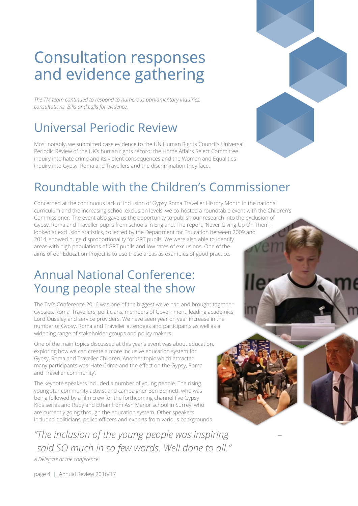## Consultation responses and evidence gathering

*The TM team continued to respond to numerous parliamentary inquiries, consultations, Bills and calls for evidence.*

### Universal Periodic Review

Most notably, we submitted case evidence to the UN Human Rights Council's Universal Periodic Review of the UK's human rights record; the Home Affairs Select Committee inquiry into hate crime and its violent consequences and the Women and Equalities inquiry into Gypsy, Roma and Travellers and the discrimination they face.



#### Roundtable with the Children's Commissioner

Concerned at the continuous lack of inclusion of Gypsy Roma Traveller History Month in the national curriculum and the increasing school exclusion levels, we co-hosted a roundtable event with the Children's Commissioner. The event also gave us the opportunity to publish our research into the exclusion of Gypsy, Roma and Traveller pupils from schools in England. The report, 'Never Giving Up On Them', looked at exclusion statistics, collected by the Department for Education between 2009 and 2014, showed huge disproportionality for GRT pupils. We were also able to identify areas with high populations of GRT pupils and low rates of exclusions. One of the aims of our Education Project is to use these areas as examples of good practice.

#### Annual National Conference: Young people steal the show

The TM's Conference 2016 was one of the biggest we've had and brought together Gypsies, Roma, Travellers, politicians, members of Government, leading academics, Lord Ouseley and service providers. We have seen year on year increase in the number of Gypsy, Roma and Traveller attendees and participants as well as a widening range of stakeholder groups and policy makers.

One of the main topics discussed at this year's event was about education, exploring how we can create a more inclusive education system for Gypsy, Roma and Traveller Children. Another topic which attracted many participants was 'Hate Crime and the effect on the Gypsy, Roma and Traveller community'.

The keynote speakers included a number of young people. The rising young star community activist and campaigner Ben Bennett, who was being followed by a film crew for the forthcoming channel five Gypsy Kids series and Ruby and Ethan from Ash Manor school in Surrey, who are currently going through the education system. Other speakers included politicians, police officers and experts from various backgrounds.

*"The inclusion of the young people was inspiring – said SO much in so few words. Well done to all."*

*A Delegate at the conference*

page 4 | Annual Review 2016/17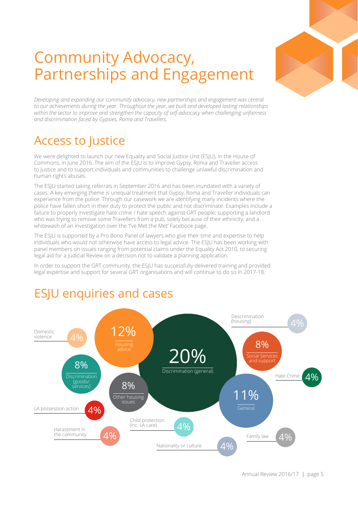

## Community Advocacy, Partnerships and Engagement

*Developing and expanding our community advocacy, new partnerships and engagement was central to our achievements during the year. Throughout the year, we built and developed lasting relationships within the sector to improve and strengthen the capacity of self-advocacy when challenging unfairness and discrimination faced by Gypsies, Roma and Travellers.*

#### Access to Justice

We were delighted to launch our new Equality and Social Justice Unit (ESJU), in the House of Commons, in June 2016. The aim of the ESJU is to improve Gypsy, Roma and Traveller access to justice and to support individuals and communities to challenge unlawful discrimination and human rights abuses.

The ESJU started taking referrals in September 2016 and has been inundated with a variety of cases. A key emerging theme is unequal treatment that Gypsy, Roma and Traveller individuals can experience from the police. Through our casework we are identifying many incidents where the police have fallen short in their duty to protect the public and not discriminate. Examples include a failure to properly investigate hate crime / hate speech against GRT people; supporting a landlord who was trying to remove some Travellers from a pub, solely because of their ethnicity; and a whitewash of an investigation over the 'I've Met the Met' Facebook page.

The ESJU is supported by a Pro Bono Panel of lawyers who give their time and expertise to help individuals who would not otherwise have access to legal advice. The ESJU has been working with panel members on issues ranging from potential claims under the Equality Act 2010, to securing legal aid for a Judicial Review on a decision not to validate a planning application.

In order to support the GRT community, the ESJU has successfully delivered training and provided legal expertise and support for several GRT organisations and will continue to do so in 2017-18.

#### 20% Discrimination (general) 11% General 12% 8% **Discrimination** (goods/ services) 8% Other housing issues 8% Social Service and suppor LA possession action  $4\%$  $\Delta$ % 4% 4%  $\overline{4}$  $\overline{\Delta^{0}/}$ Nationality or culture  $4\%$ Domestic violence Descrimination (housing) Hate Crime  $4%$ Harassment in the community  $\overline{4\%}$  Family law Child protection (inc. LA care)

## ESJU enquiries and cases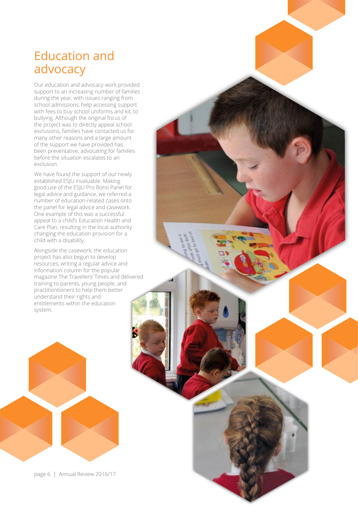#### Education and advocacy

Our education and advocacy work provided support to an increasing number of families during the year, with issues ranging from school admissions, help accessing support with fees to buy school uniforms and kit, to bullying. Although the original focus of the project was to directly appeal school exclusions, families have contacted us for many other reasons and a large amount of the support we have provided has been preventative; advocating for families before the situation escalates to an exclusion.

We have found the support of our newly established ESJU invaluable. Making good use of the ESJU Pro Bono Panel for legal advice and guidance, we referred a number of education-related cases onto the panel for legal advice and casework. One example of this was a successful appeal to a child's Education Health and Care Plan, resulting in the local authority changing the education provision for a child with a disability.

Alongside the casework, the education project has also begun to develop resources, writing a regular advice and information column for the popular magazine The Travellers' Times and delivered training to parents, young people, and practitiontioners to help them better understand their rights and entitlements within the education system.



page 6 | Annual Review 2016/17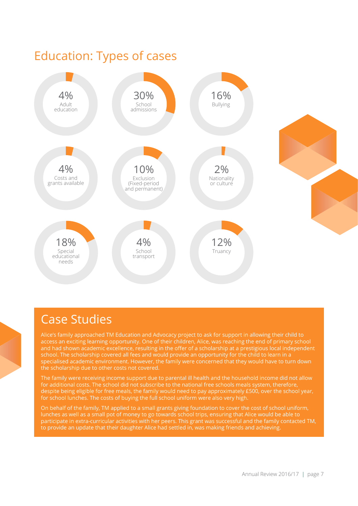

#### Case Studies

Alice's family approached TM Education and Advocacy project to ask for support in allowing their child to access an exciting learning opportunity. One of their children, Alice, was reaching the end of primary school and had shown academic excellence, resulting in the offer of a scholarship at a prestigious local independent school. The scholarship covered all fees and would provide an opportunity for the child to learn in a specialised academic environment. However, the family were concerned that they would have to turn down the scholarship due to other costs not covered.

The family were receiving income support due to parental ill health and the household income did not allow for additional costs. The school did not subscribe to the national free schools meals system, therefore, despite being eligible for free meals, the family would need to pay approximately £500, over the school year, for school lunches. The costs of buying the full school uniform were also very high.

On behalf of the family, TM applied to a small grants giving foundation to cover the cost of school uniform, lunches as well as a small pot of money to go towards school trips, ensuring that Alice would be able to participate in extra-curricular activities with her peers. This grant was successful and the family contacted TM, to provide an update that their daughter Alice had settled in, was making friends and achieving.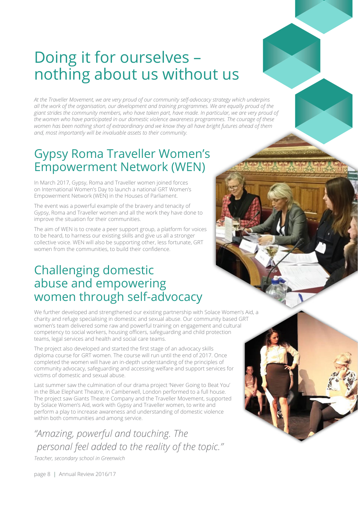## Doing it for ourselves – nothing about us without us

*At the Traveller Movement, we are very proud of our community self-advocacy strategy which underpins all the work of the organisation, our development and training programmes. We are equally proud of the giant strides the community members, who have taken part, have made. In particular, we are very proud of the women who have participated in our domestic violence awareness programmes. The courage of these women has been nothing short of extraordinary and we know they all have bright futures ahead of them and, most importantly will be invaluable assets to their community.*

#### Gypsy Roma Traveller Women's Empowerment Network (WEN)

In March 2017, Gypsy, Roma and Traveller women joined forces on International Women's Day to launch a national GRT Women's Empowerment Network (WEN) in the Houses of Parliament.

The event was a powerful example of the bravery and tenacity of Gypsy, Roma and Traveller women and all the work they have done to improve the situation for their communities.

The aim of WEN is to create a peer support group, a platform for voices to be heard, to harness our existing skills and give us all a stronger collective voice. WEN will also be supporting other, less fortunate, GRT women from the communities, to build their confidence.

#### Challenging domestic abuse and empowering women through self-advocacy

We further developed and strengthened our existing partnership with Solace Women's Aid, a charity and refuge specialising in domestic and sexual abuse. Our community based GRT women's team delivered some raw and powerful training on engagement and cultural competency to social workers, housing officers, safeguarding and child protection teams, legal services and health and social care teams.

The project also developed and started the first stage of an advocacy skills diploma course for GRT women. The course will run until the end of 2017. Once completed the women will have an in-depth understanding of the principles of community advocacy, safeguarding and accessing welfare and support services for victims of domestic and sexual abuse.

Last summer saw the culmination of our drama project 'Never Going to Beat You' in the Blue Elephant Theatre, in Camberwell, London performed to a full house. The project saw Giants Theatre Company and the Traveller Movement, supported by Solace Women's Aid, work with Gypsy and Traveller women, to write and perform a play to increase awareness and understanding of domestic violence within both communities and among service.

*"Amazing, powerful and touching. The personal feel added to the reality of the topic."*

*Teacher, secondary school in Greenwich*

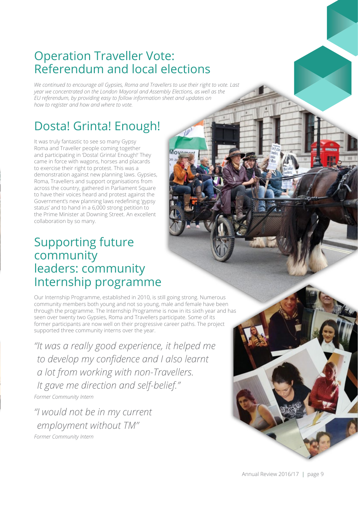#### Operation Traveller Vote: Referendum and local elections

*We continued to encourage all Gypsies, Roma and Travellers to use their right to vote. Last year we concentrated on the London Mayoral and Assembly Elections, as well as the EU referendum, by providing easy to follow information sheet and updates on how to register and how and where to vote.*

Movement

#### Dosta! Grinta! Enough!

It was truly fantastic to see so many Gypsy Roma and Traveller people coming together and participating in 'Dosta! Grinta! Enough!' They came in force with wagons, horses and placards to exercise their right to protest. This was a demonstration against new planning laws. Gypsies, Roma, Travellers and support organisations from across the country, gathered in Parliament Square to have their voices heard and protest against the Government's new planning laws redefining 'gypsy status' and to hand in a 6,000 strong petition to the Prime Minister at Downing Street. An excellent collaboration by so many.

#### Supporting future community leaders: community Internship programme

Our Internship Programme, established in 2010, is still going strong. Numerous community members both young and not so young, male and female have been through the programme. The Internship Programme is now in its sixth year and has seen over twenty two Gypsies, Roma and Travellers participate. Some of its former participants are now well on their progressive career paths. The project supported three community interns over the year.

*"It was a really good experience, it helped me to develop my confidence and I also learnt a lot from working with non-Travellers. It gave me direction and self-belief.'' Former Community Intern*

*"I would not be in my current employment without TM" Former Community Intern*

Annual Review 2016/17 | page 9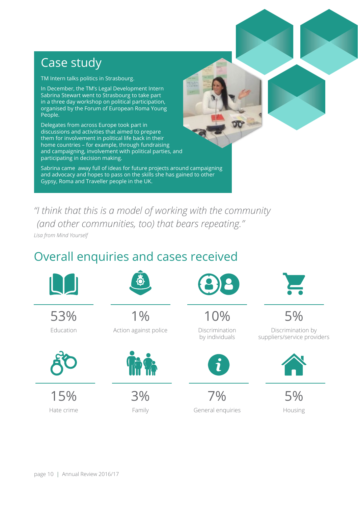#### Case study

TM Intern talks politics in Strasbourg.

In December, the TM's Legal Development Intern Sabrina Stewart went to Strasbourg to take part in a three day workshop on political participation, organised by the Forum of European Roma Young People.

Delegates from across Europe took part in discussions and activities that aimed to prepare them for involvement in political life back in their home countries – for example, through fundraising and campaigning, involvement with political parties, and participating in decision making.

and advocacy and hopes to pass on the skills she has gained to other<br>Cynev, Boma and Traveller noonle in the UK Sabrina came away full of ideas for future projects around campaigning Gypsy, Roma and Traveller people in the UK.

*"I think that this is a model of working with the community (and other communities, too) that bears repeating."* 

*Lisa from Mind Yourself*

#### Overall enquiries and cases received

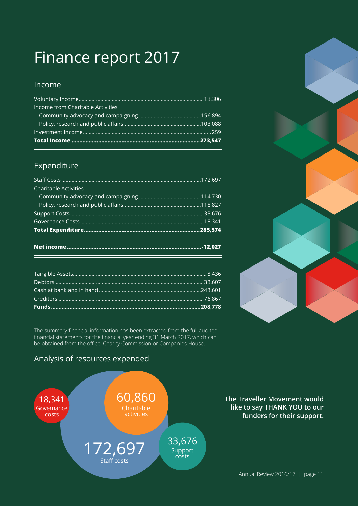# Finance report 2017

#### Income

| Income from Charitable Activities |  |
|-----------------------------------|--|
|                                   |  |
|                                   |  |
|                                   |  |
|                                   |  |

#### Expenditure

| <b>Charitable Activities</b> |  |  |
|------------------------------|--|--|
|                              |  |  |
|                              |  |  |
|                              |  |  |
|                              |  |  |
|                              |  |  |
|                              |  |  |

The summary financial information has been extracted from the full audited financial statements for the financial year ending 31 March 2017, which can be obtained from the office, Charity Commission or Companies House.

#### Analysis of resources expended



**The Traveller Movement would<br>like to say THANK YOU to our<br>funders for their support.<br>Annual Review 2016/17 | page 11 like to say THANK YOU to our funders for their support.**